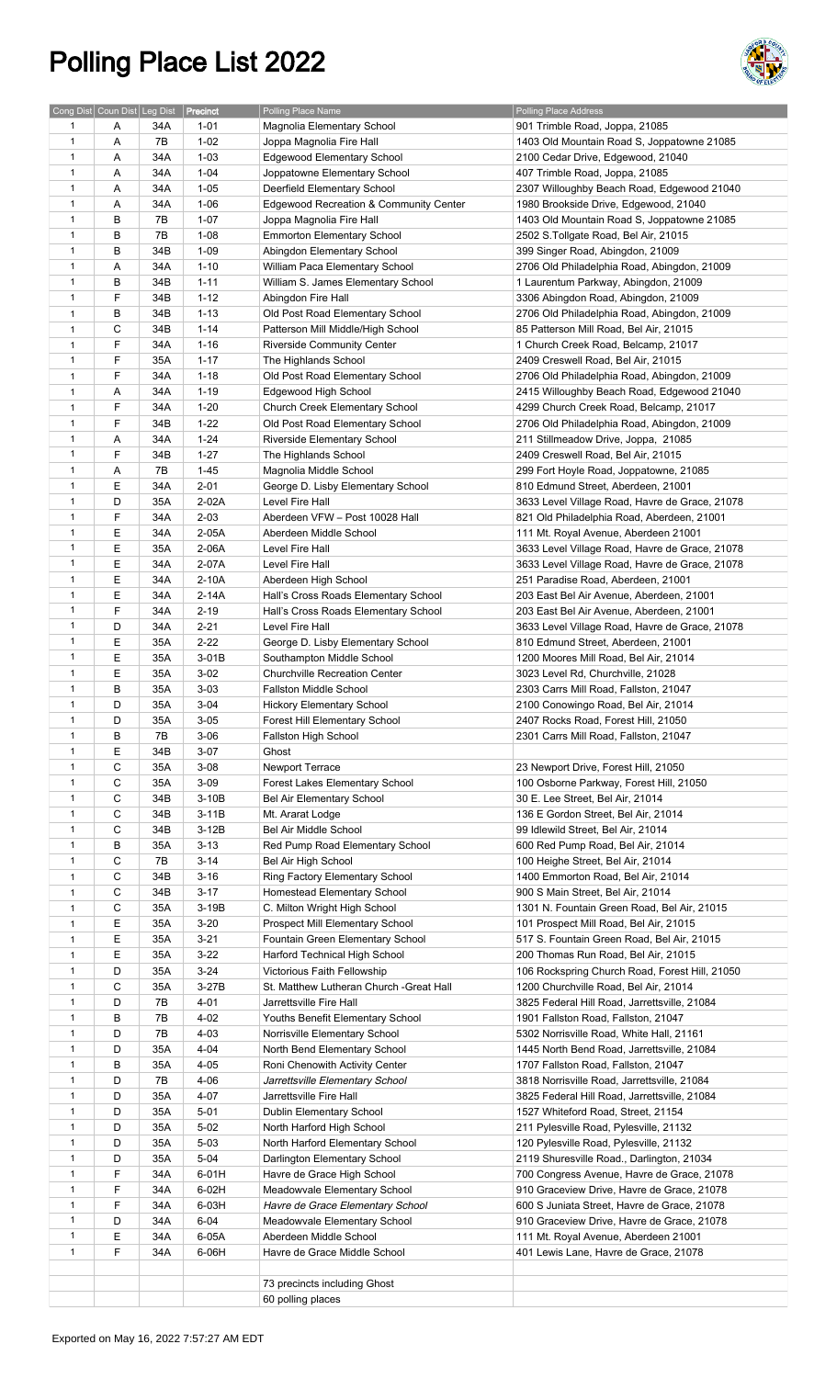## Polling Place List 2022



| Cong Dist Coun Dist Leg Dist |   |     | Precinct | Polling Place Name                      | Polling Place Address                          |
|------------------------------|---|-----|----------|-----------------------------------------|------------------------------------------------|
|                              |   |     |          |                                         |                                                |
| 1                            | Α | 34A | $1 - 01$ | Magnolia Elementary School              | 901 Trimble Road, Joppa, 21085                 |
| $\mathbf{1}$                 | Α | 7B  | $1 - 02$ | Joppa Magnolia Fire Hall                | 1403 Old Mountain Road S, Joppatowne 21085     |
| $\mathbf{1}$                 | Α | 34A | $1 - 03$ | Edgewood Elementary School              | 2100 Cedar Drive, Edgewood, 21040              |
| $\mathbf{1}$                 | Α | 34A | $1 - 04$ | Joppatowne Elementary School            | 407 Trimble Road, Joppa, 21085                 |
| $\mathbf{1}$                 | Α | 34A | $1 - 05$ | Deerfield Elementary School             | 2307 Willoughby Beach Road, Edgewood 21040     |
| $\mathbf{1}$                 | Α | 34A | $1 - 06$ | Edgewood Recreation & Community Center  | 1980 Brookside Drive, Edgewood, 21040          |
| $\mathbf{1}$                 | В | 7B  | $1 - 07$ | Joppa Magnolia Fire Hall                | 1403 Old Mountain Road S, Joppatowne 21085     |
| $\mathbf{1}$                 | B | 7B  | $1 - 08$ | <b>Emmorton Elementary School</b>       | 2502 S.Tollgate Road, Bel Air, 21015           |
| $\mathbf{1}$                 | B | 34B | $1 - 09$ | Abingdon Elementary School              |                                                |
|                              |   |     |          |                                         | 399 Singer Road, Abingdon, 21009               |
| $\mathbf{1}$                 | Α | 34A | $1 - 10$ | William Paca Elementary School          | 2706 Old Philadelphia Road, Abingdon, 21009    |
| $\mathbf{1}$                 | В | 34B | $1 - 11$ | William S. James Elementary School      | 1 Laurentum Parkway, Abingdon, 21009           |
| $\mathbf{1}$                 | F | 34B | $1 - 12$ | Abingdon Fire Hall                      | 3306 Abingdon Road, Abingdon, 21009            |
| $\mathbf{1}$                 | В | 34B | $1 - 13$ | Old Post Road Elementary School         | 2706 Old Philadelphia Road, Abingdon, 21009    |
| $\mathbf{1}$                 | C | 34B | $1 - 14$ | Patterson Mill Middle/High School       | 85 Patterson Mill Road, Bel Air, 21015         |
| $\mathbf{1}$                 | F | 34A | $1 - 16$ | <b>Riverside Community Center</b>       | 1 Church Creek Road, Belcamp, 21017            |
| $\mathbf{1}$                 | F | 35A | $1 - 17$ | The Highlands School                    | 2409 Creswell Road, Bel Air, 21015             |
| $\mathbf{1}$                 | F | 34A | $1 - 18$ | Old Post Road Elementary School         | 2706 Old Philadelphia Road, Abingdon, 21009    |
| $\mathbf{1}$                 | Α | 34A | $1 - 19$ | Edgewood High School                    | 2415 Willoughby Beach Road, Edgewood 21040     |
| $\mathbf{1}$                 | F | 34A | $1 - 20$ | Church Creek Elementary School          | 4299 Church Creek Road, Belcamp, 21017         |
|                              | F | 34B |          |                                         |                                                |
| $\mathbf{1}$                 |   |     | $1 - 22$ | Old Post Road Elementary School         | 2706 Old Philadelphia Road, Abingdon, 21009    |
| $\mathbf{1}$                 | Α | 34A | $1 - 24$ | Riverside Elementary School             | 211 Stillmeadow Drive, Joppa, 21085            |
| $\mathbf{1}$                 | F | 34B | $1 - 27$ | The Highlands School                    | 2409 Creswell Road, Bel Air, 21015             |
| 1                            | Α | 7B  | $1 - 45$ | Magnolia Middle School                  | 299 Fort Hoyle Road, Joppatowne, 21085         |
| $\mathbf{1}$                 | Е | 34A | $2 - 01$ | George D. Lisby Elementary School       | 810 Edmund Street, Aberdeen, 21001             |
| $\mathbf{1}$                 | D | 35A | 2-02A    | Level Fire Hall                         | 3633 Level Village Road, Havre de Grace, 21078 |
| $\mathbf{1}$                 | F | 34A | $2 - 03$ | Aberdeen VFW - Post 10028 Hall          | 821 Old Philadelphia Road, Aberdeen, 21001     |
| $\mathbf{1}$                 | E | 34A | 2-05A    | Aberdeen Middle School                  | 111 Mt. Royal Avenue, Aberdeen 21001           |
| $\mathbf{1}$                 | E | 35A | 2-06A    | Level Fire Hall                         | 3633 Level Village Road, Havre de Grace, 21078 |
| $\mathbf{1}$                 | E | 34A | 2-07A    | Level Fire Hall                         | 3633 Level Village Road, Havre de Grace, 21078 |
| $\mathbf{1}$                 | Ε | 34A | $2-10A$  | Aberdeen High School                    | 251 Paradise Road, Aberdeen, 21001             |
| $\mathbf{1}$                 | Е | 34A | 2-14A    | Hall's Cross Roads Elementary School    | 203 East Bel Air Avenue, Aberdeen, 21001       |
| $\mathbf{1}$                 | F |     |          |                                         |                                                |
|                              |   | 34A | $2 - 19$ | Hall's Cross Roads Elementary School    | 203 East Bel Air Avenue, Aberdeen, 21001       |
| $\mathbf{1}$                 | D | 34A | $2 - 21$ | Level Fire Hall                         | 3633 Level Village Road, Havre de Grace, 21078 |
| $\mathbf{1}$                 | Е | 35A | $2 - 22$ | George D. Lisby Elementary School       | 810 Edmund Street, Aberdeen, 21001             |
| $\mathbf{1}$                 | Е | 35A | 3-01B    | Southampton Middle School               | 1200 Moores Mill Road, Bel Air, 21014          |
| $\mathbf{1}$                 | E | 35A | $3 - 02$ | <b>Churchville Recreation Center</b>    | 3023 Level Rd, Churchville, 21028              |
| $\mathbf{1}$                 | B | 35A | $3 - 03$ | Fallston Middle School                  | 2303 Carrs Mill Road, Fallston, 21047          |
| $\mathbf{1}$                 | D | 35A | $3 - 04$ | <b>Hickory Elementary School</b>        | 2100 Conowingo Road, Bel Air, 21014            |
| 1                            | D | 35A | $3 - 05$ | Forest Hill Elementary School           | 2407 Rocks Road, Forest Hill, 21050            |
| $\mathbf{1}$                 | В | 7B  | $3 - 06$ | Fallston High School                    | 2301 Carrs Mill Road, Fallston, 21047          |
| $\mathbf{1}$                 | Ε | 34B | $3-07$   | Ghost                                   |                                                |
| $\mathbf{1}$                 | C | 35A | $3 - 08$ | Newport Terrace                         | 23 Newport Drive, Forest Hill, 21050           |
| $\mathbf{1}$                 | C | 35A | $3 - 09$ | <b>Forest Lakes Elementary School</b>   | 100 Osborne Parkway, Forest Hill, 21050        |
| $\mathbf{1}$                 | C | 34B |          |                                         |                                                |
|                              |   |     | $3-10B$  | Bel Air Elementary School               | 30 E. Lee Street, Bel Air, 21014               |
| 1                            | С | 34B | $3-11B$  | Mt. Ararat Lodge                        | 136 E Gordon Street, Bel Air, 21014            |
| $\mathbf{1}$                 | С | 34B | $3-12B$  | Bel Air Middle School                   | 99 Idlewild Street, Bel Air, 21014             |
| $\mathbf{1}$                 | B | 35A | $3 - 13$ | Red Pump Road Elementary School         | 600 Red Pump Road, Bel Air, 21014              |
| $\mathbf{1}$                 | C | 7B  | $3 - 14$ | Bel Air High School                     | 100 Heighe Street, Bel Air, 21014              |
| $\mathbf{1}$                 | C | 34B | $3 - 16$ | Ring Factory Elementary School          | 1400 Emmorton Road, Bel Air, 21014             |
| $\mathbf{1}$                 | C | 34B | $3 - 17$ | Homestead Elementary School             | 900 S Main Street, Bel Air, 21014              |
| $\mathbf{1}$                 | C | 35A | 3-19B    | C. Milton Wright High School            | 1301 N. Fountain Green Road, Bel Air, 21015    |
| $\mathbf{1}$                 | Ε | 35A | $3 - 20$ | Prospect Mill Elementary School         | 101 Prospect Mill Road, Bel Air, 21015         |
| $\mathbf{1}$                 | Е | 35A | $3 - 21$ | Fountain Green Elementary School        | 517 S. Fountain Green Road, Bel Air, 21015     |
| $\mathbf{1}$                 | Е | 35A | $3 - 22$ | Harford Technical High School           | 200 Thomas Run Road, Bel Air, 21015            |
| $\mathbf{1}$                 | D | 35A | $3 - 24$ | Victorious Faith Fellowship             | 106 Rockspring Church Road, Forest Hill, 21050 |
| $\mathbf{1}$                 | C | 35A | $3-27B$  | St. Matthew Lutheran Church -Great Hall | 1200 Churchville Road, Bel Air, 21014          |
| $\mathbf{1}$                 | D | 7B  | 4-01     | Jarrettsville Fire Hall                 | 3825 Federal Hill Road, Jarrettsville, 21084   |
| $\mathbf{1}$                 | В | 7B  | $4 - 02$ | Youths Benefit Elementary School        | 1901 Fallston Road, Fallston, 21047            |
| $\mathbf{1}$                 | D | 7B  | $4 - 03$ |                                         |                                                |
|                              |   |     |          | Norrisville Elementary School           | 5302 Norrisville Road, White Hall, 21161       |
| $\mathbf{1}$                 | D | 35A | $4 - 04$ | North Bend Elementary School            | 1445 North Bend Road, Jarrettsville, 21084     |
| $\mathbf{1}$                 | В | 35A | $4 - 05$ | Roni Chenowith Activity Center          | 1707 Fallston Road, Fallston, 21047            |
| $\mathbf{1}$                 | D | 7B  | $4 - 06$ | Jarrettsville Elementary School         | 3818 Norrisville Road, Jarrettsville, 21084    |
| $\mathbf{1}$                 | D | 35A | 4-07     | Jarrettsville Fire Hall                 | 3825 Federal Hill Road, Jarrettsville, 21084   |
| $\mathbf{1}$                 | D | 35A | $5 - 01$ | Dublin Elementary School                | 1527 Whiteford Road, Street, 21154             |
| $\mathbf{1}$                 | D | 35A | $5-02$   | North Harford High School               | 211 Pylesville Road, Pylesville, 21132         |
| $\mathbf{1}$                 | D | 35A | $5 - 03$ | North Harford Elementary School         | 120 Pylesville Road, Pylesville, 21132         |
| $\mathbf{1}$                 | D | 35A | $5 - 04$ | Darlington Elementary School            | 2119 Shuresville Road., Darlington, 21034      |
| $\mathbf{1}$                 | F | 34A | 6-01H    | Havre de Grace High School              | 700 Congress Avenue, Havre de Grace, 21078     |
| $\mathbf{1}$                 | F | 34A | 6-02H    | Meadowvale Elementary School            | 910 Graceview Drive, Havre de Grace, 21078     |
| $\mathbf{1}$                 | F | 34A | $6-03H$  | Havre de Grace Elementary School        | 600 S Juniata Street, Havre de Grace, 21078    |
| $\mathbf{1}$                 | D | 34A | $6 - 04$ | Meadowvale Elementary School            | 910 Graceview Drive, Havre de Grace, 21078     |
| $\mathbf{1}$                 | E | 34A | 6-05A    |                                         |                                                |
|                              |   |     |          | Aberdeen Middle School                  | 111 Mt. Royal Avenue, Aberdeen 21001           |
| $\mathbf{1}$                 | F | 34A | $6-06H$  | Havre de Grace Middle School            | 401 Lewis Lane, Havre de Grace, 21078          |
|                              |   |     |          |                                         |                                                |
|                              |   |     |          | 73 precincts including Ghost            |                                                |
|                              |   |     |          | 60 polling places                       |                                                |